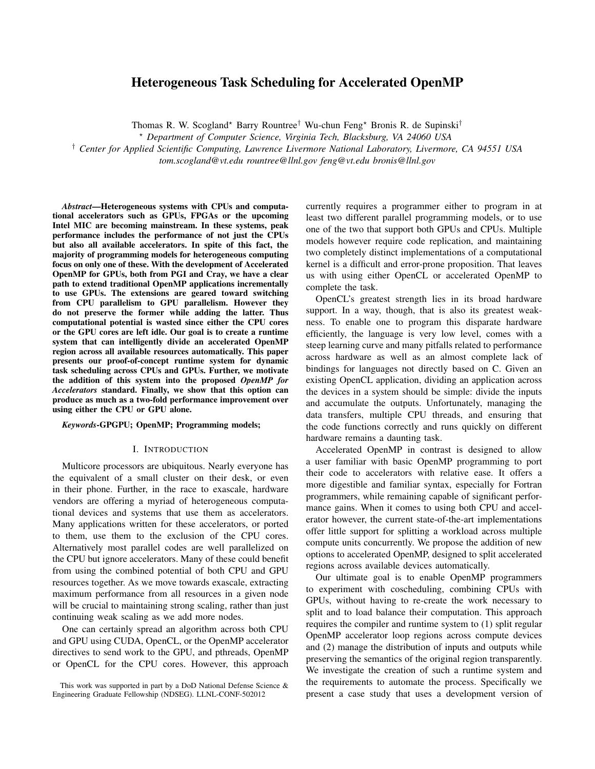# Heterogeneous Task Scheduling for Accelerated OpenMP

Thomas R. W. Scogland? Barry Rountree*†* Wu-chun Feng? Bronis R. de Supinski*†*

? *Department of Computer Science, Virginia Tech, Blacksburg, VA 24060 USA*

*† Center for Applied Scientific Computing, Lawrence Livermore National Laboratory, Livermore, CA 94551 USA*

*tom.scogland@vt.edu rountree@llnl.gov feng@vt.edu bronis@llnl.gov*

*Abstract*—Heterogeneous systems with CPUs and computational accelerators such as GPUs, FPGAs or the upcoming Intel MIC are becoming mainstream. In these systems, peak performance includes the performance of not just the CPUs but also all available accelerators. In spite of this fact, the majority of programming models for heterogeneous computing focus on only one of these. With the development of Accelerated OpenMP for GPUs, both from PGI and Cray, we have a clear path to extend traditional OpenMP applications incrementally to use GPUs. The extensions are geared toward switching from CPU parallelism to GPU parallelism. However they do not preserve the former while adding the latter. Thus computational potential is wasted since either the CPU cores or the GPU cores are left idle. Our goal is to create a runtime system that can intelligently divide an accelerated OpenMP region across all available resources automatically. This paper presents our proof-of-concept runtime system for dynamic task scheduling across CPUs and GPUs. Further, we motivate the addition of this system into the proposed *OpenMP for Accelerators* standard. Finally, we show that this option can produce as much as a two-fold performance improvement over using either the CPU or GPU alone.

### *Keywords*-GPGPU; OpenMP; Programming models;

### I. INTRODUCTION

Multicore processors are ubiquitous. Nearly everyone has the equivalent of a small cluster on their desk, or even in their phone. Further, in the race to exascale, hardware vendors are offering a myriad of heterogeneous computational devices and systems that use them as accelerators. Many applications written for these accelerators, or ported to them, use them to the exclusion of the CPU cores. Alternatively most parallel codes are well parallelized on the CPU but ignore accelerators. Many of these could benefit from using the combined potential of both CPU and GPU resources together. As we move towards exascale, extracting maximum performance from all resources in a given node will be crucial to maintaining strong scaling, rather than just continuing weak scaling as we add more nodes.

One can certainly spread an algorithm across both CPU and GPU using CUDA, OpenCL, or the OpenMP accelerator directives to send work to the GPU, and pthreads, OpenMP or OpenCL for the CPU cores. However, this approach currently requires a programmer either to program in at least two different parallel programming models, or to use one of the two that support both GPUs and CPUs. Multiple models however require code replication, and maintaining two completely distinct implementations of a computational kernel is a difficult and error-prone proposition. That leaves us with using either OpenCL or accelerated OpenMP to complete the task.

OpenCL's greatest strength lies in its broad hardware support. In a way, though, that is also its greatest weakness. To enable one to program this disparate hardware efficiently, the language is very low level, comes with a steep learning curve and many pitfalls related to performance across hardware as well as an almost complete lack of bindings for languages not directly based on C. Given an existing OpenCL application, dividing an application across the devices in a system should be simple: divide the inputs and accumulate the outputs. Unfortunately, managing the data transfers, multiple CPU threads, and ensuring that the code functions correctly and runs quickly on different hardware remains a daunting task.

Accelerated OpenMP in contrast is designed to allow a user familiar with basic OpenMP programming to port their code to accelerators with relative ease. It offers a more digestible and familiar syntax, especially for Fortran programmers, while remaining capable of significant performance gains. When it comes to using both CPU and accelerator however, the current state-of-the-art implementations offer little support for splitting a workload across multiple compute units concurrently. We propose the addition of new options to accelerated OpenMP, designed to split accelerated regions across available devices automatically.

Our ultimate goal is to enable OpenMP programmers to experiment with coscheduling, combining CPUs with GPUs, without having to re-create the work necessary to split and to load balance their computation. This approach requires the compiler and runtime system to (1) split regular OpenMP accelerator loop regions across compute devices and (2) manage the distribution of inputs and outputs while preserving the semantics of the original region transparently. We investigate the creation of such a runtime system and the requirements to automate the process. Specifically we present a case study that uses a development version of

This work was supported in part by a DoD National Defense Science & Engineering Graduate Fellowship (NDSEG). LLNL-CONF-502012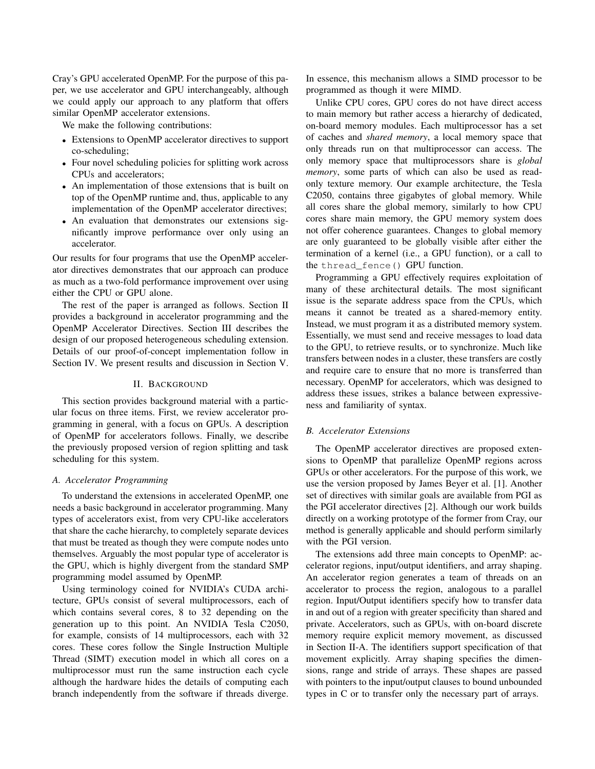Cray's GPU accelerated OpenMP. For the purpose of this paper, we use accelerator and GPU interchangeably, although we could apply our approach to any platform that offers similar OpenMP accelerator extensions.

We make the following contributions:

- *•* Extensions to OpenMP accelerator directives to support co-scheduling;
- Four novel scheduling policies for splitting work across CPUs and accelerators;
- *•* An implementation of those extensions that is built on top of the OpenMP runtime and, thus, applicable to any implementation of the OpenMP accelerator directives;
- An evaluation that demonstrates our extensions significantly improve performance over only using an accelerator.

Our results for four programs that use the OpenMP accelerator directives demonstrates that our approach can produce as much as a two-fold performance improvement over using either the CPU or GPU alone.

The rest of the paper is arranged as follows. Section II provides a background in accelerator programming and the OpenMP Accelerator Directives. Section III describes the design of our proposed heterogeneous scheduling extension. Details of our proof-of-concept implementation follow in Section IV. We present results and discussion in Section V.

## II. BACKGROUND

This section provides background material with a particular focus on three items. First, we review accelerator programming in general, with a focus on GPUs. A description of OpenMP for accelerators follows. Finally, we describe the previously proposed version of region splitting and task scheduling for this system.

#### *A. Accelerator Programming*

To understand the extensions in accelerated OpenMP, one needs a basic background in accelerator programming. Many types of accelerators exist, from very CPU-like accelerators that share the cache hierarchy, to completely separate devices that must be treated as though they were compute nodes unto themselves. Arguably the most popular type of accelerator is the GPU, which is highly divergent from the standard SMP programming model assumed by OpenMP.

Using terminology coined for NVIDIA's CUDA architecture, GPUs consist of several multiprocessors, each of which contains several cores, 8 to 32 depending on the generation up to this point. An NVIDIA Tesla C2050, for example, consists of 14 multiprocessors, each with 32 cores. These cores follow the Single Instruction Multiple Thread (SIMT) execution model in which all cores on a multiprocessor must run the same instruction each cycle although the hardware hides the details of computing each branch independently from the software if threads diverge. In essence, this mechanism allows a SIMD processor to be programmed as though it were MIMD.

Unlike CPU cores, GPU cores do not have direct access to main memory but rather access a hierarchy of dedicated, on-board memory modules. Each multiprocessor has a set of caches and *shared memory*, a local memory space that only threads run on that multiprocessor can access. The only memory space that multiprocessors share is *global memory*, some parts of which can also be used as readonly texture memory. Our example architecture, the Tesla C2050, contains three gigabytes of global memory. While all cores share the global memory, similarly to how CPU cores share main memory, the GPU memory system does not offer coherence guarantees. Changes to global memory are only guaranteed to be globally visible after either the termination of a kernel (i.e., a GPU function), or a call to the thread\_fence() GPU function.

Programming a GPU effectively requires exploitation of many of these architectural details. The most significant issue is the separate address space from the CPUs, which means it cannot be treated as a shared-memory entity. Instead, we must program it as a distributed memory system. Essentially, we must send and receive messages to load data to the GPU, to retrieve results, or to synchronize. Much like transfers between nodes in a cluster, these transfers are costly and require care to ensure that no more is transferred than necessary. OpenMP for accelerators, which was designed to address these issues, strikes a balance between expressiveness and familiarity of syntax.

## *B. Accelerator Extensions*

The OpenMP accelerator directives are proposed extensions to OpenMP that parallelize OpenMP regions across GPUs or other accelerators. For the purpose of this work, we use the version proposed by James Beyer et al. [1]. Another set of directives with similar goals are available from PGI as the PGI accelerator directives [2]. Although our work builds directly on a working prototype of the former from Cray, our method is generally applicable and should perform similarly with the PGI version.

The extensions add three main concepts to OpenMP: accelerator regions, input/output identifiers, and array shaping. An accelerator region generates a team of threads on an accelerator to process the region, analogous to a parallel region. Input/Output identifiers specify how to transfer data in and out of a region with greater specificity than shared and private. Accelerators, such as GPUs, with on-board discrete memory require explicit memory movement, as discussed in Section II-A. The identifiers support specification of that movement explicitly. Array shaping specifies the dimensions, range and stride of arrays. These shapes are passed with pointers to the input/output clauses to bound unbounded types in C or to transfer only the necessary part of arrays.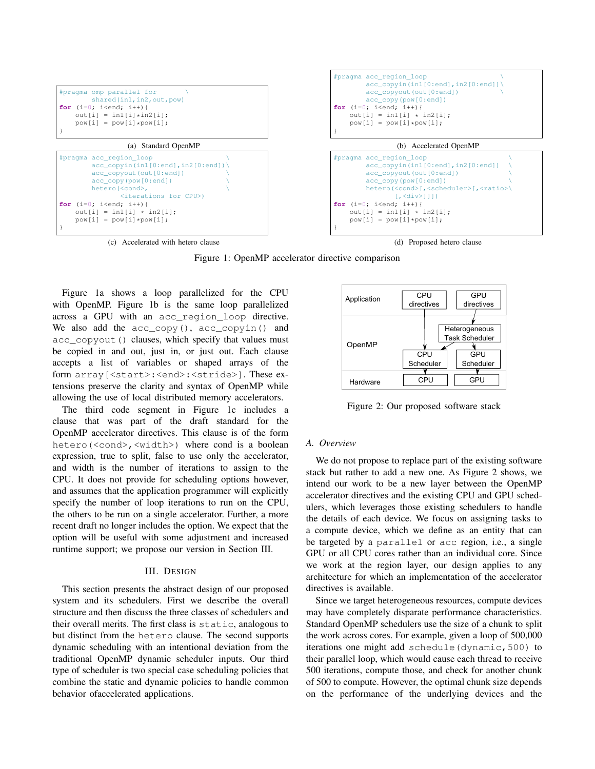

(c) Accelerated with hetero clause

(d) Proposed hetero clause

Figure 1: OpenMP accelerator directive comparison

Figure 1a shows a loop parallelized for the CPU with OpenMP. Figure 1b is the same loop parallelized across a GPU with an acc\_region\_loop directive. We also add the  $acc\_copy()$ ,  $acc\_copy$ in() and acc\_copyout() clauses, which specify that values must be copied in and out, just in, or just out. Each clause accepts a list of variables or shaped arrays of the form array[<start>:<end>:<stride>]. These extensions preserve the clarity and syntax of OpenMP while allowing the use of local distributed memory accelerators.

The third code segment in Figure 1c includes a clause that was part of the draft standard for the OpenMP accelerator directives. This clause is of the form hetero(<cond>,<width>) where cond is a boolean expression, true to split, false to use only the accelerator, and width is the number of iterations to assign to the CPU. It does not provide for scheduling options however, and assumes that the application programmer will explicitly specify the number of loop iterations to run on the CPU, the others to be run on a single accelerator. Further, a more recent draft no longer includes the option. We expect that the option will be useful with some adjustment and increased runtime support; we propose our version in Section III.

## III. DESIGN

This section presents the abstract design of our proposed system and its schedulers. First we describe the overall structure and then discuss the three classes of schedulers and their overall merits. The first class is static, analogous to but distinct from the hetero clause. The second supports dynamic scheduling with an intentional deviation from the traditional OpenMP dynamic scheduler inputs. Our third type of scheduler is two special case scheduling policies that combine the static and dynamic policies to handle common behavior ofaccelerated applications.



Figure 2: Our proposed software stack

## *A. Overview*

We do not propose to replace part of the existing software stack but rather to add a new one. As Figure 2 shows, we intend our work to be a new layer between the OpenMP accelerator directives and the existing CPU and GPU schedulers, which leverages those existing schedulers to handle the details of each device. We focus on assigning tasks to a compute device, which we define as an entity that can be targeted by a parallel or acc region, i.e., a single GPU or all CPU cores rather than an individual core. Since we work at the region layer, our design applies to any architecture for which an implementation of the accelerator directives is available.

Since we target heterogeneous resources, compute devices may have completely disparate performance characteristics. Standard OpenMP schedulers use the size of a chunk to split the work across cores. For example, given a loop of 500,000 iterations one might add schedule(dynamic,500) to their parallel loop, which would cause each thread to receive 500 iterations, compute those, and check for another chunk of 500 to compute. However, the optimal chunk size depends on the performance of the underlying devices and the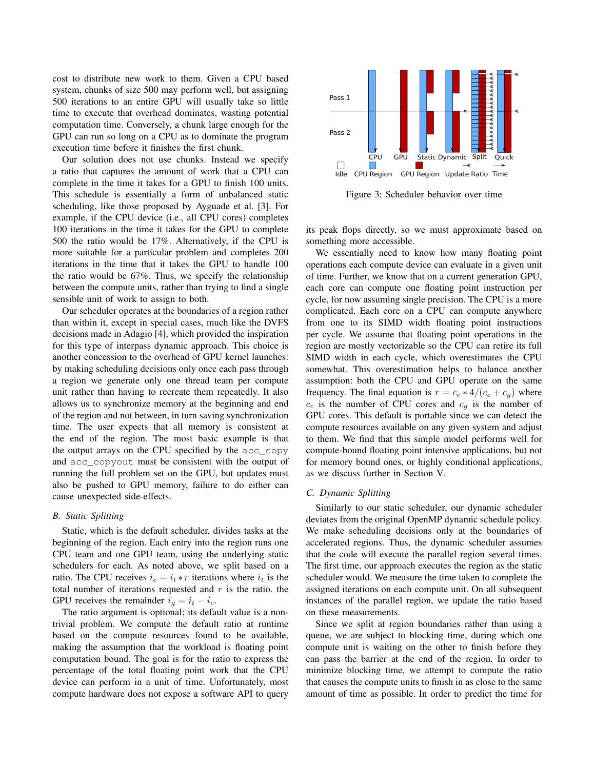cost to distribute new work to them. Given a CPU based system, chunks of size 500 may perform well, but assigning 500 iterations to an entire GPU will usually take so little time to execute that overhead dominates, wasting potential computation time. Conversely, a chunk large enough for the GPU can run so long on a CPU as to dominate the program execution time before it finishes the first chunk.

Our solution does not use chunks. Instead we specify a ratio that captures the amount of work that a CPU can complete in the time it takes for a GPU to finish 100 units. This schedule is essentially a form of unbalanced static scheduling, like those proposed by Ayguade et al. [3]. For example, if the CPU device (i.e., all CPU cores) completes 100 iterations in the time it takes for the GPU to complete 500 the ratio would be 17%. Alternatively, if the CPU is more suitable for a particular problem and completes 200 iterations in the time that it takes the GPU to handle 100 the ratio would be 67%. Thus, we specify the relationship between the compute units, rather than trying to find a single sensible unit of work to assign to both.

Our scheduler operates at the boundaries of a region rather than within it, except in special cases, much like the DVFS decisions made in Adagio [4], which provided the inspiration for this type of interpass dynamic approach. This choice is another concession to the overhead of GPU kernel launches: by making scheduling decisions only once each pass through a region we generate only one thread team per compute unit rather than having to recreate them repeatedly. It also allows us to synchronize memory at the beginning and end of the region and not between, in turn saving synchronization time. The user expects that all memory is consistent at the end of the region. The most basic example is that the output arrays on the CPU specified by the acc\_copy and acc\_copyout must be consistent with the output of running the full problem set on the GPU, but updates must also be pushed to GPU memory, failure to do either can cause unexpected side-effects.

#### *B. Static Splitting*

Static, which is the default scheduler, divides tasks at the beginning of the region. Each entry into the region runs one CPU team and one GPU team, using the underlying static schedulers for each. As noted above, we split based on a ratio. The CPU receives  $i_c = i_t * r$  iterations where  $i_t$  is the total number of iterations requested and *r* is the ratio. the GPU receives the remainder  $i_q = i_t - i_c$ .

The ratio argument is optional; its default value is a nontrivial problem. We compute the default ratio at runtime based on the compute resources found to be available, making the assumption that the workload is floating point computation bound. The goal is for the ratio to express the percentage of the total floating point work that the CPU device can perform in a unit of time. Unfortunately, most compute hardware does not expose a software API to query



Figure 3: Scheduler behavior over time

its peak flops directly, so we must approximate based on something more accessible.

We essentially need to know how many floating point operations each compute device can evaluate in a given unit of time. Further, we know that on a current generation GPU, each core can compute one floating point instruction per cycle, for now assuming single precision. The CPU is a more complicated. Each core on a CPU can compute anywhere from one to its SIMD width floating point instructions per cycle. We assume that floating point operations in the region are mostly vectorizable so the CPU can retire its full SIMD width in each cycle, which overestimates the CPU somewhat. This overestimation helps to balance another assumption: both the CPU and GPU operate on the same frequency. The final equation is  $r = c_c * 4/(c_c + c_g)$  where  $c_c$  is the number of CPU cores and  $c_g$  is the number of GPU cores. This default is portable since we can detect the compute resources available on any given system and adjust to them. We find that this simple model performs well for compute-bound floating point intensive applications, but not for memory bound ones, or highly conditional applications, as we discuss further in Section V.

# *C. Dynamic Splitting*

Similarly to our static scheduler, our dynamic scheduler deviates from the original OpenMP dynamic schedule policy. We make scheduling decisions only at the boundaries of accelerated regions. Thus, the dynamic scheduler assumes that the code will execute the parallel region several times. The first time, our approach executes the region as the static scheduler would. We measure the time taken to complete the assigned iterations on each compute unit. On all subsequent instances of the parallel region, we update the ratio based on these measurements.

Since we split at region boundaries rather than using a queue, we are subject to blocking time, during which one compute unit is waiting on the other to finish before they can pass the barrier at the end of the region. In order to minimize blocking time, we attempt to compute the ratio that causes the compute units to finish in as close to the same amount of time as possible. In order to predict the time for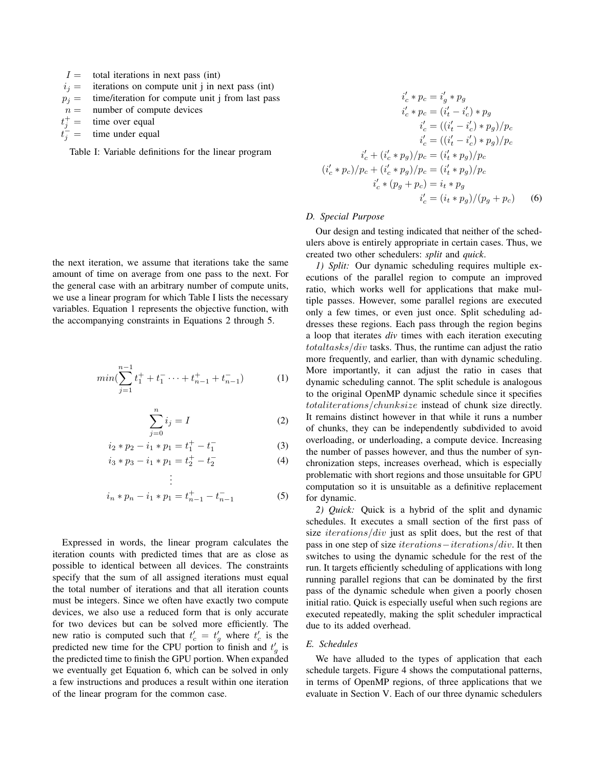$I =$  total iterations in next pass (int)

- $i_j$  = iterations on compute unit j in next pass (int)
- $p_j$  = time/iteration for compute unit j from last pass
- $n =$  number of compute devices

 $t_i^+$ = time over equal<br>= time under equal

 $t_i^$ time under equal

Table I: Variable definitions for the linear program

the next iteration, we assume that iterations take the same amount of time on average from one pass to the next. For the general case with an arbitrary number of compute units, we use a linear program for which Table I lists the necessary variables. Equation 1 represents the objective function, with the accompanying constraints in Equations 2 through 5.

$$
min(\sum_{j=1}^{n-1} t_1^+ + t_1^- \cdots + t_{n-1}^+ + t_{n-1}^-)
$$
 (1)

$$
\sum_{j=0}^{n} i_j = I \tag{2}
$$

$$
i_2 * p_2 - i_1 * p_1 = t_1^+ - t_1^-
$$
  
\n
$$
i_3 * p_3 - i_1 * p_1 = t_2^+ - t_2^-
$$
\n(3)

$$
\vdots
$$
  

$$
i_n * p_n - i_1 * p_1 = t_{n-1}^+ - t_{n-1}^-
$$
 (5)

Expressed in words, the linear program calculates the iteration counts with predicted times that are as close as possible to identical between all devices. The constraints specify that the sum of all assigned iterations must equal the total number of iterations and that all iteration counts must be integers. Since we often have exactly two compute devices, we also use a reduced form that is only accurate for two devices but can be solved more efficiently. The new ratio is computed such that  $t'_c = t'_g$  where  $t'_c$  is the predicted new time for the CPU portion to finish and  $t'_g$  is the predicted time to finish the GPU portion. When expanded we eventually get Equation 6, which can be solved in only a few instructions and produces a result within one iteration of the linear program for the common case.

$$
i'_{c} * p_{c} = i'_{g} * p_{g}
$$
  
\n
$$
i'_{c} * p_{c} = (i'_{t} - i'_{c}) * p_{g}
$$
  
\n
$$
i'_{c} = ((i'_{t} - i'_{c}) * p_{g})/p_{c}
$$
  
\n
$$
i'_{c} = ((i'_{t} - i'_{c}) * p_{g})/p_{c}
$$
  
\n
$$
i'_{c} + (i'_{c} * p_{g})/p_{c} = (i'_{t} * p_{g})/p_{c}
$$
  
\n
$$
(i'_{c} * p_{c})/p_{c} + (i'_{c} * p_{g})/p_{c} = (i'_{t} * p_{g})/p_{c}
$$
  
\n
$$
i'_{c} * (p_{g} + p_{c}) = i_{t} * p_{g}
$$
  
\n
$$
i'_{c} = (i_{t} * p_{g})/(p_{g} + p_{c})
$$
 (6)

#### *D. Special Purpose*

Our design and testing indicated that neither of the schedulers above is entirely appropriate in certain cases. Thus, we created two other schedulers: *split* and *quick*.

*1) Split:* Our dynamic scheduling requires multiple executions of the parallel region to compute an improved ratio, which works well for applications that make multiple passes. However, some parallel regions are executed only a few times, or even just once. Split scheduling addresses these regions. Each pass through the region begins a loop that iterates *div* times with each iteration executing *totaltasks/div* tasks. Thus, the runtime can adjust the ratio more frequently, and earlier, than with dynamic scheduling. More importantly, it can adjust the ratio in cases that dynamic scheduling cannot. The split schedule is analogous to the original OpenMP dynamic schedule since it specifies *totaliterations/chunksize* instead of chunk size directly. It remains distinct however in that while it runs a number of chunks, they can be independently subdivided to avoid overloading, or underloading, a compute device. Increasing the number of passes however, and thus the number of synchronization steps, increases overhead, which is especially problematic with short regions and those unsuitable for GPU computation so it is unsuitable as a definitive replacement for dynamic.

*2) Quick:* Quick is a hybrid of the split and dynamic schedules. It executes a small section of the first pass of size *iterations/div* just as split does, but the rest of that pass in one step of size *iterationsiterations/div*. It then switches to using the dynamic schedule for the rest of the run. It targets efficiently scheduling of applications with long running parallel regions that can be dominated by the first pass of the dynamic schedule when given a poorly chosen initial ratio. Quick is especially useful when such regions are executed repeatedly, making the split scheduler impractical due to its added overhead.

## *E. Schedules*

We have alluded to the types of application that each schedule targets. Figure 4 shows the computational patterns, in terms of OpenMP regions, of three applications that we evaluate in Section V. Each of our three dynamic schedulers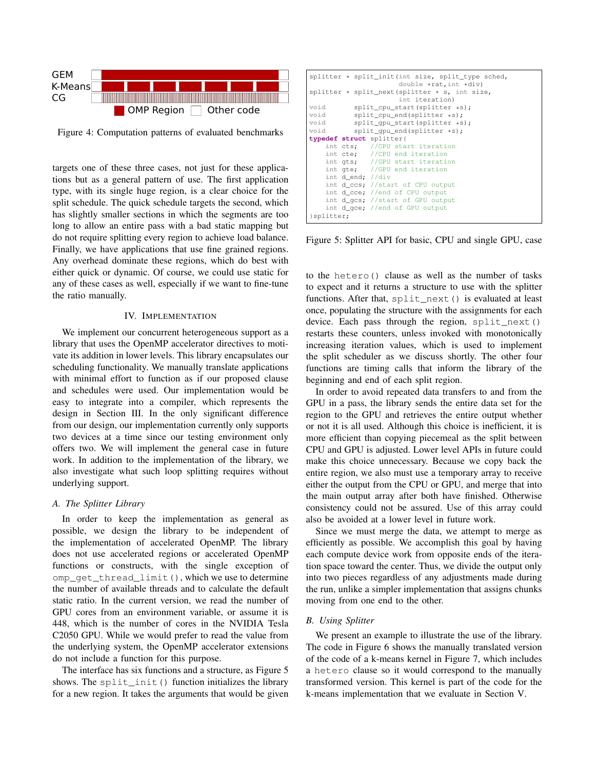

Figure 4: Computation patterns of evaluated benchmarks

targets one of these three cases, not just for these applications but as a general pattern of use. The first application type, with its single huge region, is a clear choice for the split schedule. The quick schedule targets the second, which has slightly smaller sections in which the segments are too long to allow an entire pass with a bad static mapping but do not require splitting every region to achieve load balance. Finally, we have applications that use fine grained regions. Any overhead dominate these regions, which do best with either quick or dynamic. Of course, we could use static for any of these cases as well, especially if we want to fine-tune the ratio manually.

## IV. IMPLEMENTATION

We implement our concurrent heterogeneous support as a library that uses the OpenMP accelerator directives to motivate its addition in lower levels. This library encapsulates our scheduling functionality. We manually translate applications with minimal effort to function as if our proposed clause and schedules were used. Our implementation would be easy to integrate into a compiler, which represents the design in Section III. In the only significant difference from our design, our implementation currently only supports two devices at a time since our testing environment only offers two. We will implement the general case in future work. In addition to the implementation of the library, we also investigate what such loop splitting requires without underlying support.

#### *A. The Splitter Library*

In order to keep the implementation as general as possible, we design the library to be independent of the implementation of accelerated OpenMP. The library does not use accelerated regions or accelerated OpenMP functions or constructs, with the single exception of omp\_get\_thread\_limit(), which we use to determine the number of available threads and to calculate the default static ratio. In the current version, we read the number of GPU cores from an environment variable, or assume it is 448, which is the number of cores in the NVIDIA Tesla C2050 GPU. While we would prefer to read the value from the underlying system, the OpenMP accelerator extensions do not include a function for this purpose.

The interface has six functions and a structure, as Figure 5 shows. The split\_init() function initializes the library for a new region. It takes the arguments that would be given

| splitter * split_init(int size, split_type sched,<br>$double$ *rat, int *div) |  |  |  |  |  |  |
|-------------------------------------------------------------------------------|--|--|--|--|--|--|
| splitter * split_next(splitter * s, int size,                                 |  |  |  |  |  |  |
| int iteration)                                                                |  |  |  |  |  |  |
| void<br>split_cpu_start(splitter *s);                                         |  |  |  |  |  |  |
| split_cpu_end(splitter *s);<br>void                                           |  |  |  |  |  |  |
| void<br>$split\_qpu\_start(splitter *s);$                                     |  |  |  |  |  |  |
| void<br>split qpu end (splitter $*$ s);                                       |  |  |  |  |  |  |
| typedef struct splitter{                                                      |  |  |  |  |  |  |
| int cts; //CPU start iteration                                                |  |  |  |  |  |  |
| int cte; //CPU end iteration                                                  |  |  |  |  |  |  |
| int qts; //GPU start iteration                                                |  |  |  |  |  |  |
| int qte; //GPU end iteration                                                  |  |  |  |  |  |  |
| int d end; //div                                                              |  |  |  |  |  |  |
| int d ccs; //start of CPU output                                              |  |  |  |  |  |  |
| int d cce; //end of CPU output                                                |  |  |  |  |  |  |
| int d qcs; //start of GPU output                                              |  |  |  |  |  |  |
| int d_qce; //end of GPU output                                                |  |  |  |  |  |  |
| }splitter;                                                                    |  |  |  |  |  |  |

Figure 5: Splitter API for basic, CPU and single GPU, case

to the hetero() clause as well as the number of tasks to expect and it returns a structure to use with the splitter functions. After that, split\_next() is evaluated at least once, populating the structure with the assignments for each device. Each pass through the region, split  $next()$ restarts these counters, unless invoked with monotonically increasing iteration values, which is used to implement the split scheduler as we discuss shortly. The other four functions are timing calls that inform the library of the beginning and end of each split region.

In order to avoid repeated data transfers to and from the GPU in a pass, the library sends the entire data set for the region to the GPU and retrieves the entire output whether or not it is all used. Although this choice is inefficient, it is more efficient than copying piecemeal as the split between CPU and GPU is adjusted. Lower level APIs in future could make this choice unnecessary. Because we copy back the entire region, we also must use a temporary array to receive either the output from the CPU or GPU, and merge that into the main output array after both have finished. Otherwise consistency could not be assured. Use of this array could also be avoided at a lower level in future work.

Since we must merge the data, we attempt to merge as efficiently as possible. We accomplish this goal by having each compute device work from opposite ends of the iteration space toward the center. Thus, we divide the output only into two pieces regardless of any adjustments made during the run, unlike a simpler implementation that assigns chunks moving from one end to the other.

## *B. Using Splitter*

We present an example to illustrate the use of the library. The code in Figure 6 shows the manually translated version of the code of a k-means kernel in Figure 7, which includes a hetero clause so it would correspond to the manually transformed version. This kernel is part of the code for the k-means implementation that we evaluate in Section V.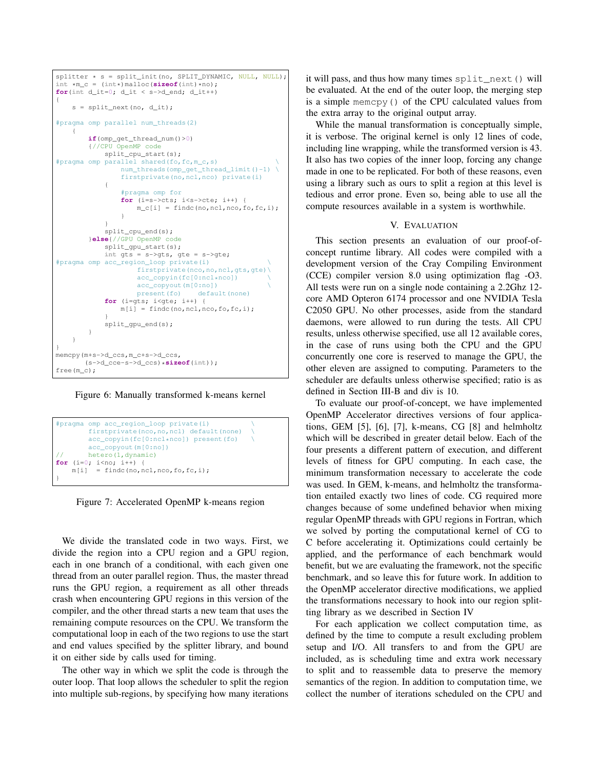

Figure 6: Manually transformed k-means kernel

```
#pragma omp acc_region_loop private(i) \
        firstprivate(nco,no,ncl) default(none)
        acc_copyin(fc[0:ncl*nco]) present(fo)
        acc_copyout(m[0:no])
        hetero(1, dynamic)
for (i=0; i<no; i++) {
    m[i] = findc(no, ncl, nco, fo, fc, i);
}
```
Figure 7: Accelerated OpenMP k-means region

We divide the translated code in two ways. First, we divide the region into a CPU region and a GPU region, each in one branch of a conditional, with each given one thread from an outer parallel region. Thus, the master thread runs the GPU region, a requirement as all other threads crash when encountering GPU regions in this version of the compiler, and the other thread starts a new team that uses the remaining compute resources on the CPU. We transform the computational loop in each of the two regions to use the start and end values specified by the splitter library, and bound it on either side by calls used for timing.

The other way in which we split the code is through the outer loop. That loop allows the scheduler to split the region into multiple sub-regions, by specifying how many iterations it will pass, and thus how many times split\_next() will be evaluated. At the end of the outer loop, the merging step is a simple memcpy() of the CPU calculated values from the extra array to the original output array.

While the manual transformation is conceptually simple, it is verbose. The original kernel is only 12 lines of code, including line wrapping, while the transformed version is 43. It also has two copies of the inner loop, forcing any change made in one to be replicated. For both of these reasons, even using a library such as ours to split a region at this level is tedious and error prone. Even so, being able to use all the compute resources available in a system is worthwhile.

#### V. EVALUATION

This section presents an evaluation of our proof-ofconcept runtime library. All codes were compiled with a development version of the Cray Compiling Environment (CCE) compiler version 8.0 using optimization flag -O3. All tests were run on a single node containing a 2.2Ghz 12 core AMD Opteron 6174 processor and one NVIDIA Tesla C2050 GPU. No other processes, aside from the standard daemons, were allowed to run during the tests. All CPU results, unless otherwise specified, use all 12 available cores, in the case of runs using both the CPU and the GPU concurrently one core is reserved to manage the GPU, the other eleven are assigned to computing. Parameters to the scheduler are defaults unless otherwise specified; ratio is as defined in Section III-B and div is 10.

To evaluate our proof-of-concept, we have implemented OpenMP Accelerator directives versions of four applications, GEM [5], [6], [7], k-means, CG [8] and helmholtz which will be described in greater detail below. Each of the four presents a different pattern of execution, and different levels of fitness for GPU computing. In each case, the minimum transformation necessary to accelerate the code was used. In GEM, k-means, and helmholtz the transformation entailed exactly two lines of code. CG required more changes because of some undefined behavior when mixing regular OpenMP threads with GPU regions in Fortran, which we solved by porting the computational kernel of CG to C before accelerating it. Optimizations could certainly be applied, and the performance of each benchmark would benefit, but we are evaluating the framework, not the specific benchmark, and so leave this for future work. In addition to the OpenMP accelerator directive modifications, we applied the transformations necessary to hook into our region splitting library as we described in Section IV

For each application we collect computation time, as defined by the time to compute a result excluding problem setup and I/O. All transfers to and from the GPU are included, as is scheduling time and extra work necessary to split and to reassemble data to preserve the memory semantics of the region. In addition to computation time, we collect the number of iterations scheduled on the CPU and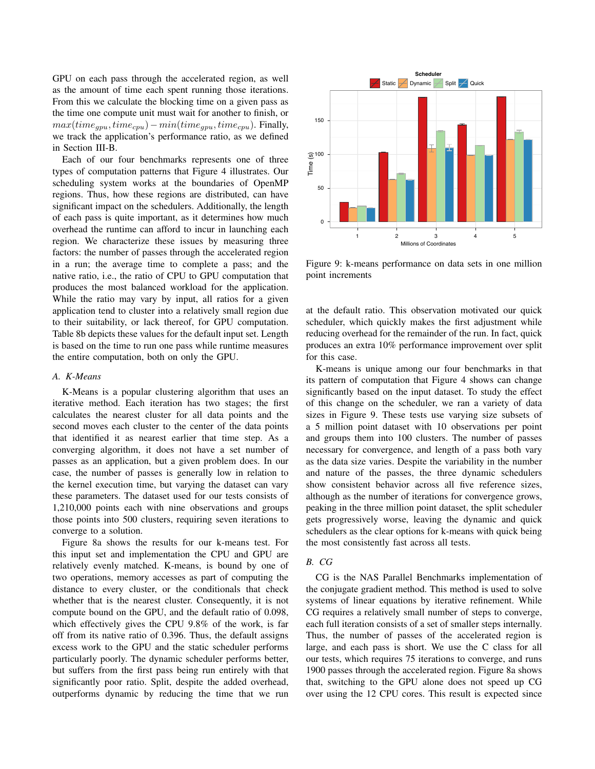GPU on each pass through the accelerated region, as well as the amount of time each spent running those iterations. From this we calculate the blocking time on a given pass as the time one compute unit must wait for another to finish, or  $max(time_{gpu}, time_{cpu}) - min(time_{gpu}, time_{cpu})$ . Finally, we track the application's performance ratio, as we defined in Section III-B.

Each of our four benchmarks represents one of three types of computation patterns that Figure 4 illustrates. Our scheduling system works at the boundaries of OpenMP regions. Thus, how these regions are distributed, can have significant impact on the schedulers. Additionally, the length of each pass is quite important, as it determines how much overhead the runtime can afford to incur in launching each region. We characterize these issues by measuring three factors: the number of passes through the accelerated region in a run; the average time to complete a pass; and the native ratio, i.e., the ratio of CPU to GPU computation that produces the most balanced workload for the application. While the ratio may vary by input, all ratios for a given application tend to cluster into a relatively small region due to their suitability, or lack thereof, for GPU computation. Table 8b depicts these values for the default input set. Length is based on the time to run one pass while runtime measures the entire computation, both on only the GPU.

#### *A. K-Means*

K-Means is a popular clustering algorithm that uses an iterative method. Each iteration has two stages; the first calculates the nearest cluster for all data points and the second moves each cluster to the center of the data points that identified it as nearest earlier that time step. As a converging algorithm, it does not have a set number of passes as an application, but a given problem does. In our case, the number of passes is generally low in relation to the kernel execution time, but varying the dataset can vary these parameters. The dataset used for our tests consists of 1,210,000 points each with nine observations and groups those points into 500 clusters, requiring seven iterations to converge to a solution.

Figure 8a shows the results for our k-means test. For this input set and implementation the CPU and GPU are relatively evenly matched. K-means, is bound by one of two operations, memory accesses as part of computing the distance to every cluster, or the conditionals that check whether that is the nearest cluster. Consequently, it is not compute bound on the GPU, and the default ratio of 0.098, which effectively gives the CPU 9.8% of the work, is far off from its native ratio of 0.396. Thus, the default assigns excess work to the GPU and the static scheduler performs particularly poorly. The dynamic scheduler performs better, but suffers from the first pass being run entirely with that significantly poor ratio. Split, despite the added overhead, outperforms dynamic by reducing the time that we run



Figure 9: k-means performance on data sets in one million point increments

at the default ratio. This observation motivated our quick scheduler, which quickly makes the first adjustment while reducing overhead for the remainder of the run. In fact, quick produces an extra 10% performance improvement over split for this case.

K-means is unique among our four benchmarks in that its pattern of computation that Figure 4 shows can change significantly based on the input dataset. To study the effect of this change on the scheduler, we ran a variety of data sizes in Figure 9. These tests use varying size subsets of a 5 million point dataset with 10 observations per point and groups them into 100 clusters. The number of passes necessary for convergence, and length of a pass both vary as the data size varies. Despite the variability in the number and nature of the passes, the three dynamic schedulers show consistent behavior across all five reference sizes, although as the number of iterations for convergence grows, peaking in the three million point dataset, the split scheduler gets progressively worse, leaving the dynamic and quick schedulers as the clear options for k-means with quick being the most consistently fast across all tests.

# *B. CG*

CG is the NAS Parallel Benchmarks implementation of the conjugate gradient method. This method is used to solve systems of linear equations by iterative refinement. While CG requires a relatively small number of steps to converge, each full iteration consists of a set of smaller steps internally. Thus, the number of passes of the accelerated region is large, and each pass is short. We use the C class for all our tests, which requires 75 iterations to converge, and runs 1900 passes through the accelerated region. Figure 8a shows that, switching to the GPU alone does not speed up CG over using the 12 CPU cores. This result is expected since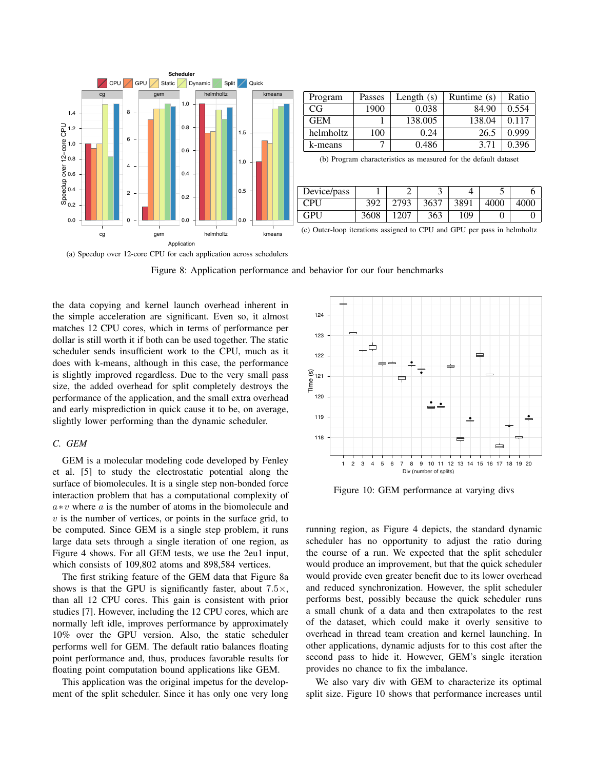

| Program    | Passes | Length $(s)$ | Runtime $(s)$ | Ratio |
|------------|--------|--------------|---------------|-------|
| CG         | 1900   | 0.038        | 84.90         | 0.554 |
| <b>GEM</b> |        | 138.005      | 138.04        | 0.117 |
| helmholtz  | 100    | 0.24         | 26.5          | 0.999 |
| k-means    |        | 0.486        | 3.71          | 0.396 |

(b) Program characteristics as measured for the default dataset

| Device/pass |      |      |      |      |      |      |
|-------------|------|------|------|------|------|------|
| CPU.        | 392  | 2793 | 3637 | 3891 | 4000 | 4000 |
| GPU         | 3608 |      | 363  | 109  |      |      |

(c) Outer-loop iterations assigned to CPU and GPU per pass in helmholtz

(a) Speedup over 12-core CPU for each application across schedulers

Figure 8: Application performance and behavior for our four benchmarks

the data copying and kernel launch overhead inherent in the simple acceleration are significant. Even so, it almost matches 12 CPU cores, which in terms of performance per dollar is still worth it if both can be used together. The static scheduler sends insufficient work to the CPU, much as it does with k-means, although in this case, the performance is slightly improved regardless. Due to the very small pass size, the added overhead for split completely destroys the performance of the application, and the small extra overhead and early misprediction in quick cause it to be, on average, slightly lower performing than the dynamic scheduler.

## *C. GEM*

GEM is a molecular modeling code developed by Fenley et al. [5] to study the electrostatic potential along the surface of biomolecules. It is a single step non-bonded force interaction problem that has a computational complexity of  $a * v$  where  $a$  is the number of atoms in the biomolecule and  $v$  is the number of vertices, or points in the surface grid, to be computed. Since GEM is a single step problem, it runs large data sets through a single iteration of one region, as Figure 4 shows. For all GEM tests, we use the 2eu1 input, which consists of 109,802 atoms and 898,584 vertices.

The first striking feature of the GEM data that Figure 8a shows is that the GPU is significantly faster, about  $7.5 \times$ , than all 12 CPU cores. This gain is consistent with prior studies [7]. However, including the 12 CPU cores, which are normally left idle, improves performance by approximately 10% over the GPU version. Also, the static scheduler performs well for GEM. The default ratio balances floating point performance and, thus, produces favorable results for floating point computation bound applications like GEM.

This application was the original impetus for the development of the split scheduler. Since it has only one very long



Figure 10: GEM performance at varying divs

running region, as Figure 4 depicts, the standard dynamic scheduler has no opportunity to adjust the ratio during the course of a run. We expected that the split scheduler would produce an improvement, but that the quick scheduler would provide even greater benefit due to its lower overhead and reduced synchronization. However, the split scheduler performs best, possibly because the quick scheduler runs a small chunk of a data and then extrapolates to the rest of the dataset, which could make it overly sensitive to overhead in thread team creation and kernel launching. In other applications, dynamic adjusts for to this cost after the second pass to hide it. However, GEM's single iteration provides no chance to fix the imbalance.

We also vary div with GEM to characterize its optimal split size. Figure 10 shows that performance increases until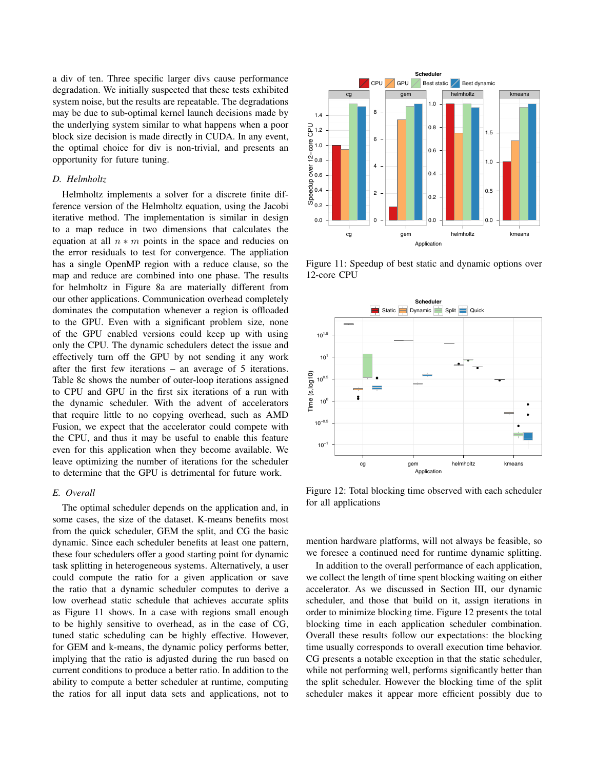a div of ten. Three specific larger divs cause performance degradation. We initially suspected that these tests exhibited system noise, but the results are repeatable. The degradations may be due to sub-optimal kernel launch decisions made by the underlying system similar to what happens when a poor block size decision is made directly in CUDA. In any event, the optimal choice for div is non-trivial, and presents an opportunity for future tuning.

#### *D. Helmholtz*

Helmholtz implements a solver for a discrete finite difference version of the Helmholtz equation, using the Jacobi iterative method. The implementation is similar in design to a map reduce in two dimensions that calculates the equation at all  $n * m$  points in the space and reducies on the error residuals to test for convergence. The appliation has a single OpenMP region with a reduce clause, so the map and reduce are combined into one phase. The results for helmholtz in Figure 8a are materially different from our other applications. Communication overhead completely dominates the computation whenever a region is offloaded to the GPU. Even with a significant problem size, none of the GPU enabled versions could keep up with using only the CPU. The dynamic schedulers detect the issue and effectively turn off the GPU by not sending it any work after the first few iterations – an average of 5 iterations. Table 8c shows the number of outer-loop iterations assigned to CPU and GPU in the first six iterations of a run with the dynamic scheduler. With the advent of accelerators that require little to no copying overhead, such as AMD Fusion, we expect that the accelerator could compete with the CPU, and thus it may be useful to enable this feature even for this application when they become available. We leave optimizing the number of iterations for the scheduler to determine that the GPU is detrimental for future work.

## *E. Overall*

The optimal scheduler depends on the application and, in some cases, the size of the dataset. K-means benefits most from the quick scheduler, GEM the split, and CG the basic dynamic. Since each scheduler benefits at least one pattern, these four schedulers offer a good starting point for dynamic task splitting in heterogeneous systems. Alternatively, a user could compute the ratio for a given application or save the ratio that a dynamic scheduler computes to derive a low overhead static schedule that achieves accurate splits as Figure 11 shows. In a case with regions small enough to be highly sensitive to overhead, as in the case of CG, tuned static scheduling can be highly effective. However, for GEM and k-means, the dynamic policy performs better, implying that the ratio is adjusted during the run based on current conditions to produce a better ratio. In addition to the ability to compute a better scheduler at runtime, computing the ratios for all input data sets and applications, not to



Figure 11: Speedup of best static and dynamic options over 12-core CPU



Figure 12: Total blocking time observed with each scheduler for all applications

mention hardware platforms, will not always be feasible, so we foresee a continued need for runtime dynamic splitting.

In addition to the overall performance of each application, we collect the length of time spent blocking waiting on either accelerator. As we discussed in Section III, our dynamic scheduler, and those that build on it, assign iterations in order to minimize blocking time. Figure 12 presents the total blocking time in each application scheduler combination. Overall these results follow our expectations: the blocking time usually corresponds to overall execution time behavior. CG presents a notable exception in that the static scheduler, while not performing well, performs significantly better than the split scheduler. However the blocking time of the split scheduler makes it appear more efficient possibly due to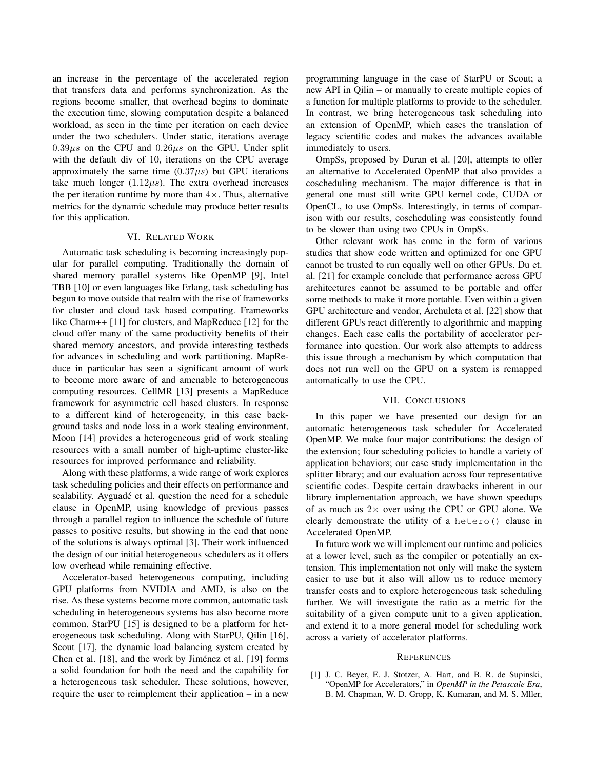an increase in the percentage of the accelerated region that transfers data and performs synchronization. As the regions become smaller, that overhead begins to dominate the execution time, slowing computation despite a balanced workload, as seen in the time per iteration on each device under the two schedulers. Under static, iterations average  $0.39\mu s$  on the CPU and  $0.26\mu s$  on the GPU. Under split with the default div of 10, iterations on the CPU average approximately the same time (0*.*37*µs*) but GPU iterations take much longer (1*.*12*µs*). The extra overhead increases the per iteration runtime by more than  $4 \times$ . Thus, alternative metrics for the dynamic schedule may produce better results for this application.

#### VI. RELATED WORK

Automatic task scheduling is becoming increasingly popular for parallel computing. Traditionally the domain of shared memory parallel systems like OpenMP [9], Intel TBB [10] or even languages like Erlang, task scheduling has begun to move outside that realm with the rise of frameworks for cluster and cloud task based computing. Frameworks like Charm++ [11] for clusters, and MapReduce [12] for the cloud offer many of the same productivity benefits of their shared memory ancestors, and provide interesting testbeds for advances in scheduling and work partitioning. MapReduce in particular has seen a significant amount of work to become more aware of and amenable to heterogeneous computing resources. CellMR [13] presents a MapReduce framework for asymmetric cell based clusters. In response to a different kind of heterogeneity, in this case background tasks and node loss in a work stealing environment, Moon [14] provides a heterogeneous grid of work stealing resources with a small number of high-uptime cluster-like resources for improved performance and reliability.

Along with these platforms, a wide range of work explores task scheduling policies and their effects on performance and scalability. Ayguadé et al. question the need for a schedule clause in OpenMP, using knowledge of previous passes through a parallel region to influence the schedule of future passes to positive results, but showing in the end that none of the solutions is always optimal [3]. Their work influenced the design of our initial heterogeneous schedulers as it offers low overhead while remaining effective.

Accelerator-based heterogeneous computing, including GPU platforms from NVIDIA and AMD, is also on the rise. As these systems become more common, automatic task scheduling in heterogeneous systems has also become more common. StarPU [15] is designed to be a platform for heterogeneous task scheduling. Along with StarPU, Qilin [16], Scout [17], the dynamic load balancing system created by Chen et al. [18], and the work by Jiménez et al. [19] forms a solid foundation for both the need and the capability for a heterogeneous task scheduler. These solutions, however, require the user to reimplement their application – in a new programming language in the case of StarPU or Scout; a new API in Qilin – or manually to create multiple copies of a function for multiple platforms to provide to the scheduler. In contrast, we bring heterogeneous task scheduling into an extension of OpenMP, which eases the translation of legacy scientific codes and makes the advances available immediately to users.

OmpSs, proposed by Duran et al. [20], attempts to offer an alternative to Accelerated OpenMP that also provides a coscheduling mechanism. The major difference is that in general one must still write GPU kernel code, CUDA or OpenCL, to use OmpSs. Interestingly, in terms of comparison with our results, coscheduling was consistently found to be slower than using two CPUs in OmpSs.

Other relevant work has come in the form of various studies that show code written and optimized for one GPU cannot be trusted to run equally well on other GPUs. Du et. al. [21] for example conclude that performance across GPU architectures cannot be assumed to be portable and offer some methods to make it more portable. Even within a given GPU architecture and vendor, Archuleta et al. [22] show that different GPUs react differently to algorithmic and mapping changes. Each case calls the portability of accelerator performance into question. Our work also attempts to address this issue through a mechanism by which computation that does not run well on the GPU on a system is remapped automatically to use the CPU.

# VII. CONCLUSIONS

In this paper we have presented our design for an automatic heterogeneous task scheduler for Accelerated OpenMP. We make four major contributions: the design of the extension; four scheduling policies to handle a variety of application behaviors; our case study implementation in the splitter library; and our evaluation across four representative scientific codes. Despite certain drawbacks inherent in our library implementation approach, we have shown speedups of as much as  $2 \times$  over using the CPU or GPU alone. We clearly demonstrate the utility of a hetero() clause in Accelerated OpenMP.

In future work we will implement our runtime and policies at a lower level, such as the compiler or potentially an extension. This implementation not only will make the system easier to use but it also will allow us to reduce memory transfer costs and to explore heterogeneous task scheduling further. We will investigate the ratio as a metric for the suitability of a given compute unit to a given application, and extend it to a more general model for scheduling work across a variety of accelerator platforms.

#### **REFERENCES**

[1] J. C. Beyer, E. J. Stotzer, A. Hart, and B. R. de Supinski, "OpenMP for Accelerators," in *OpenMP in the Petascale Era*, B. M. Chapman, W. D. Gropp, K. Kumaran, and M. S. Mller,